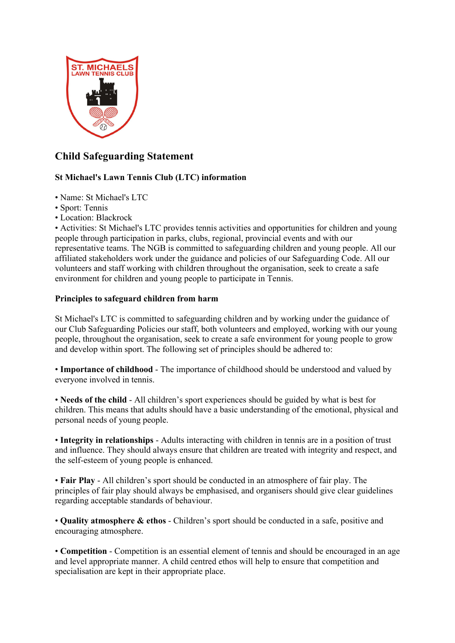

# **Child Safeguarding Statement**

# **St Michael's Lawn Tennis Club (LTC) information**

- Name: St Michael's LTC
- Sport: Tennis
- Location: Blackrock

• Activities: St Michael's LTC provides tennis activities and opportunities for children and young people through participation in parks, clubs, regional, provincial events and with our representative teams. The NGB is committed to safeguarding children and young people. All our affiliated stakeholders work under the guidance and policies of our Safeguarding Code. All our volunteers and staff working with children throughout the organisation, seek to create a safe environment for children and young people to participate in Tennis.

## **Principles to safeguard children from harm**

St Michael's LTC is committed to safeguarding children and by working under the guidance of our Club Safeguarding Policies our staff, both volunteers and employed, working with our young people, throughout the organisation, seek to create a safe environment for young people to grow and develop within sport. The following set of principles should be adhered to:

• **Importance of childhood** - The importance of childhood should be understood and valued by everyone involved in tennis.

• **Needs of the child** - All children's sport experiences should be guided by what is best for children. This means that adults should have a basic understanding of the emotional, physical and personal needs of young people.

• **Integrity in relationships** - Adults interacting with children in tennis are in a position of trust and influence. They should always ensure that children are treated with integrity and respect, and the self-esteem of young people is enhanced.

• **Fair Play** - All children's sport should be conducted in an atmosphere of fair play. The principles of fair play should always be emphasised, and organisers should give clear guidelines regarding acceptable standards of behaviour.

• **Quality atmosphere & ethos** - Children's sport should be conducted in a safe, positive and encouraging atmosphere.

• **Competition** - Competition is an essential element of tennis and should be encouraged in an age and level appropriate manner. A child centred ethos will help to ensure that competition and specialisation are kept in their appropriate place.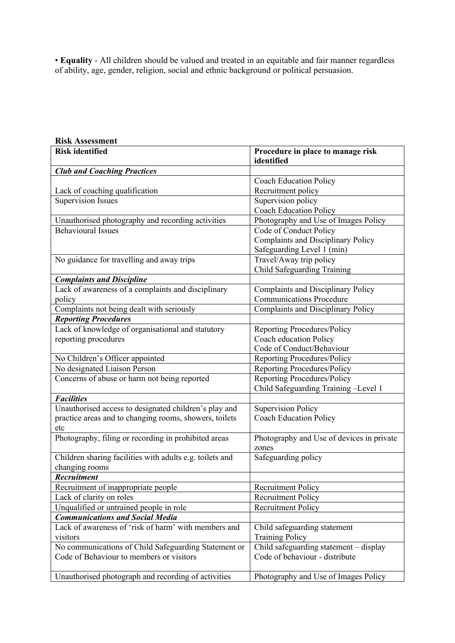• **Equality** - All children should be valued and treated in an equitable and fair manner regardless of ability, age, gender, religion, social and ethnic background or political persuasion.

| <b>Risk Assessment</b>                                                     |                                                 |
|----------------------------------------------------------------------------|-------------------------------------------------|
| <b>Risk identified</b>                                                     | Procedure in place to manage risk<br>identified |
| <b>Club and Coaching Practices</b>                                         |                                                 |
|                                                                            | <b>Coach Education Policy</b>                   |
| Lack of coaching qualification                                             | Recruitment policy                              |
| <b>Supervision Issues</b>                                                  | Supervision policy                              |
|                                                                            | <b>Coach Education Policy</b>                   |
| Unauthorised photography and recording activities                          | Photography and Use of Images Policy            |
| <b>Behavioural Issues</b>                                                  | Code of Conduct Policy                          |
|                                                                            | <b>Complaints and Disciplinary Policy</b>       |
|                                                                            | Safeguarding Level 1 (min)                      |
| No guidance for travelling and away trips                                  | Travel/Away trip policy                         |
|                                                                            | Child Safeguarding Training                     |
| <b>Complaints and Discipline</b>                                           |                                                 |
| Lack of awareness of a complaints and disciplinary                         | <b>Complaints and Disciplinary Policy</b>       |
| policy                                                                     | <b>Communications Procedure</b>                 |
| Complaints not being dealt with seriously                                  | Complaints and Disciplinary Policy              |
| <b>Reporting Procedures</b>                                                |                                                 |
| Lack of knowledge of organisational and statutory                          | Reporting Procedures/Policy                     |
| reporting procedures                                                       | Coach education Policy                          |
|                                                                            | Code of Conduct/Behaviour                       |
| No Children's Officer appointed                                            | Reporting Procedures/Policy                     |
| No designated Liaison Person                                               | Reporting Procedures/Policy                     |
| Concerns of abuse or harm not being reported                               | Reporting Procedures/Policy                     |
|                                                                            | Child Safeguarding Training-Level 1             |
| <b>Facilities</b>                                                          |                                                 |
| Unauthorised access to designated children's play and                      | <b>Supervision Policy</b>                       |
| practice areas and to changing rooms, showers, toilets                     | <b>Coach Education Policy</b>                   |
| etc                                                                        |                                                 |
| Photography, filing or recording in prohibited areas                       | Photography and Use of devices in private       |
|                                                                            | zones<br>Safeguarding policy                    |
| Children sharing facilities with adults e.g. toilets and<br>changing rooms |                                                 |
| Recruitment                                                                |                                                 |
| Recruitment of inappropriate people                                        | <b>Recruitment Policy</b>                       |
| Lack of clarity on roles                                                   | <b>Recruitment Policy</b>                       |
| Unqualified or untrained people in role                                    | <b>Recruitment Policy</b>                       |
| <b>Communications and Social Media</b>                                     |                                                 |
| Lack of awareness of 'risk of harm' with members and                       | Child safeguarding statement                    |
| visitors                                                                   | <b>Training Policy</b>                          |
| No communications of Child Safeguarding Statement or                       | Child safeguarding statement – display          |
| Code of Behaviour to members or visitors                                   | Code of behaviour - distribute                  |
|                                                                            |                                                 |
| Unauthorised photograph and recording of activities                        | Photography and Use of Images Policy            |